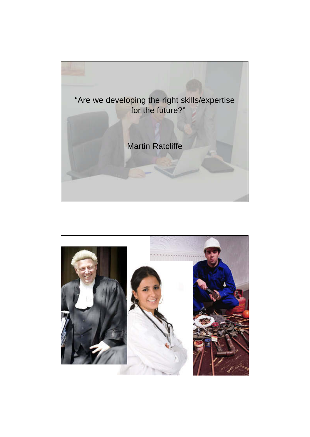

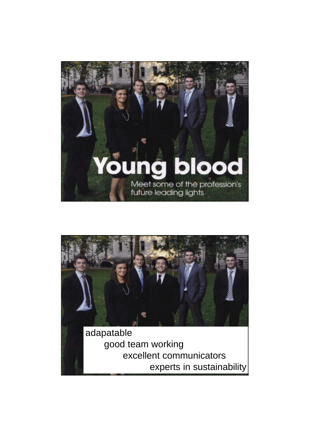



excellent communicators experts in sustainability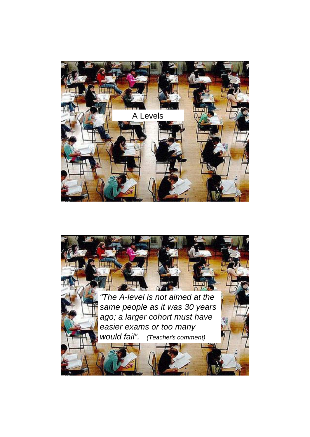

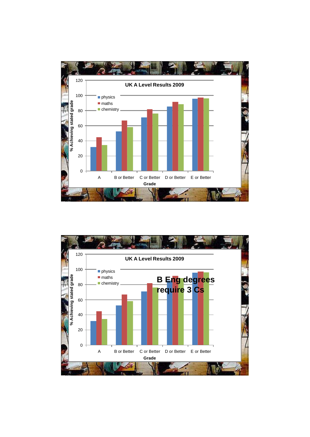

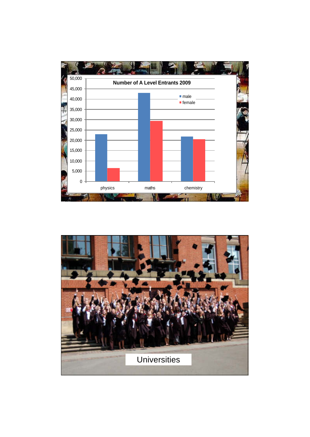

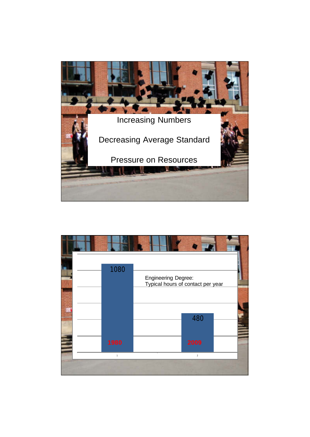

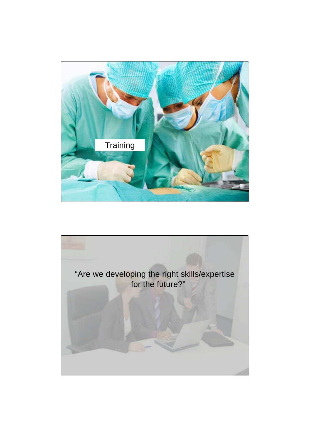